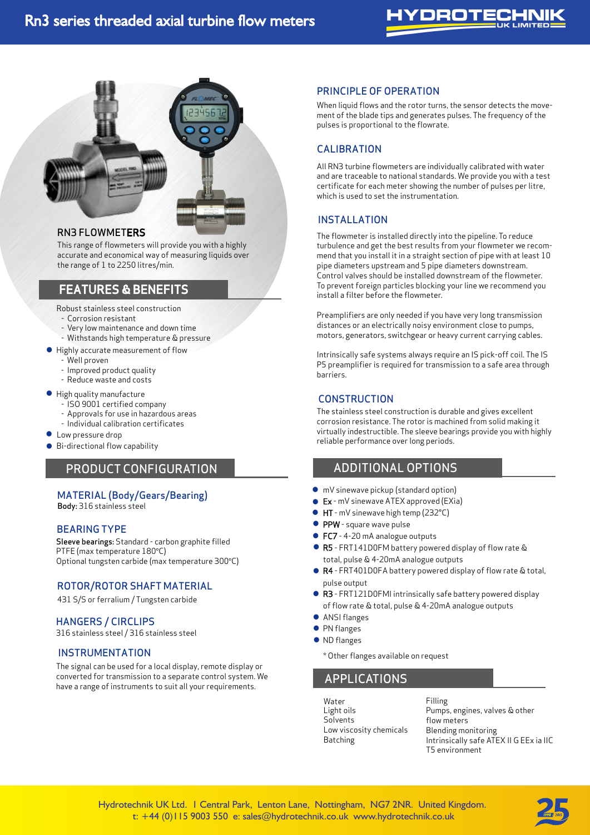# YDROTECI



### RN3 FLOWMETERS

This range of flowmeters will provide you with a highly accurate and economical way of measuring liquids over the range of 1 to 2250 litres/min.

## FEATURES & BENEFITS

Robust stainless steel construction

- Corrosion resistant
- Very low maintenance and down time
- Withstands high temperature & pressure
- Highly accurate measurement of flow
	- Well proven
	- Improved product quality
	- Reduce waste and costs
- High quality manufacture
	- ISO 9001 certified company
	- Approvals for use in hazardous areas
	- Individual calibration certificates
- Individual calibr<br>• Low pressure drop
- Bi-directional flow capability •

## PRODUCT CONFIGURATION

#### MATERIAL (Body/Gears/Bearing)

Body: 316 stainless steel

#### BEARING TYPE

Sleeve bearings: Standard - carbon graphite filled PTFE (max temperature 180*°*C) Optional tungsten carbide (max temperature 300*°*C)

#### ROTOR/ROTOR SHAFT MATERIAL

431 S/S or ferralium / Tungsten carbide

#### HANGERS / CIRCLIPS

316 stainless steel / 316 stainless steel

#### INSTRUMENTATION

The signal can be used for a local display, remote display or converted for transmission to a separate control system. We have a range of instruments to suit all your requirements.

Pulse output (mV sinewave or nPn / PnP squarewave) 4-20mA

Battery operated fow rate & totalising displays ATEX certified Zone 0, 1 & 2 classifications

#### PRINCIPLE OF OPERATION

When liquid flows and the rotor turns, the sensor detects the movement of the blade tips and generates pulses. The frequency of the pulses is proportional to the flowrate.

#### CALIBRATION

All RN3 turbine flowmeters are individually calibrated with water and are traceable to national standards. We provide you with a test certificate for each meter showing the number of pulses per litre, which is used to set the instrumentation.

#### INSTALLATION

The flowmeter is installed directly into the pipeline. To reduce turbulence and get the best results from your flowmeter we recommend that you install it in a straight section of pipe with at least 10 pipe diameters upstream and 5 pipe diameters downstream. Control valves should be installed downstream of the flowmeter. To prevent foreign particles blocking your line we recommend you install a filter before the flowmeter.

Preamplifiers are only needed if you have very long transmission distances or an electrically noisy environment close to pumps, motors, generators, switchgear or heavy current carrying cables.

Intrinsically safe systems always require an IS pick-off coil. The IS P5 preamplifier is required for transmission to a safe area through barriers.

#### **CONSTRUCTION**

The stainless steel construction is durable and gives excellent corrosion resistance. The rotor is machined from solid making it virtually indestructible. The sleeve bearings provide you with highly reliable performance over long periods.

## ADDITIONAL OPTIONS

- mV sinewave pickup (standard option)
- Ex mV sinewave ATEX approved (EXia)
- HT mV sinewave high temp (232°C) •<br>•
- PPW square wave pulse
- FC7 4-20 mA analogue outputs<br>• FC7 4-20 mA analogue outputs •<br>•
- R5 FRT141D0FM battery powered display of flow rate & total, pulse & 4-20mA analogue outputs •
- R4 FRT401D0FA battery powered display of flow rate & total, pulse output
- R3 FRT121D0FMI intrinsically safe battery powered display of flow rate & total, pulse & 4-20mA analogue outputs
- ANSI flanges
- **PN** flanges
- ND flanges
	- \* Other flanges available on request

## APPLICATIONS

Water Light oils **Solvents** Low viscosity chemicals Batching

Filling Pumps, engines, valves & other flow meters Blending monitoring Intrinsically safe ATEX II G EEx ia IIC T5 environment